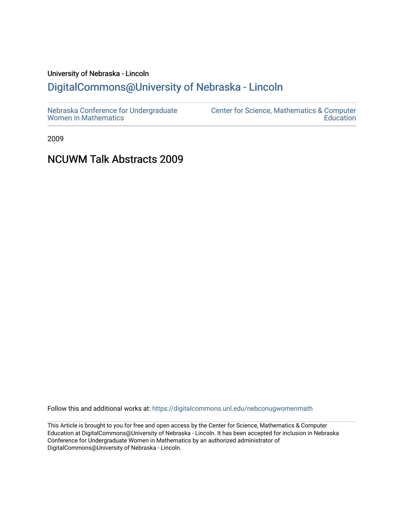## University of Nebraska - Lincoln [DigitalCommons@University of Nebraska - Lincoln](https://digitalcommons.unl.edu/)

2009

## NCUWM Talk Abstracts 2009

Follow this and additional works at: [https://digitalcommons.unl.edu/nebconugwomenmath](https://digitalcommons.unl.edu/nebconugwomenmath?utm_source=digitalcommons.unl.edu%2Fnebconugwomenmath%2F8&utm_medium=PDF&utm_campaign=PDFCoverPages)

This Article is brought to you for free and open access by the Center for Science, Mathematics & Computer Education at DigitalCommons@University of Nebraska - Lincoln. It has been accepted for inclusion in Nebraska Conference for Undergraduate Women in Mathematics by an authorized administrator of DigitalCommons@University of Nebraska - Lincoln.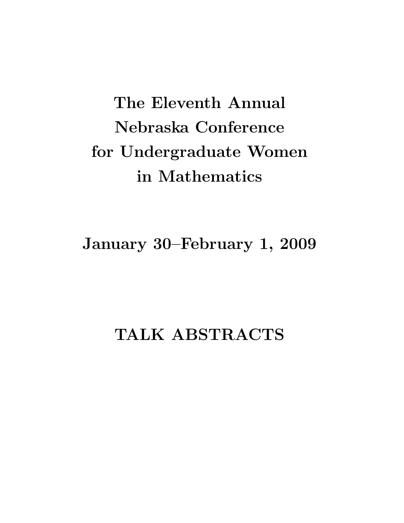# The Eleventh Annual Nebraska Conference for Undergraduate Women in Mathematics

January 30–February 1, 2009

## TALK ABSTRACTS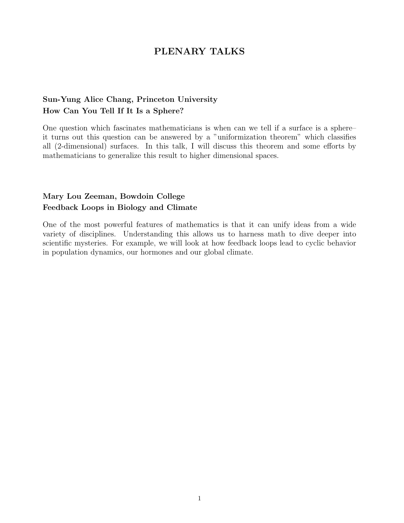## PLENARY TALKS

## Sun-Yung Alice Chang, Princeton University How Can You Tell If It Is a Sphere?

One question which fascinates mathematicians is when can we tell if a surface is a sphere– it turns out this question can be answered by a "uniformization theorem" which classifies all (2-dimensional) surfaces. In this talk, I will discuss this theorem and some efforts by mathematicians to generalize this result to higher dimensional spaces.

## Mary Lou Zeeman, Bowdoin College Feedback Loops in Biology and Climate

One of the most powerful features of mathematics is that it can unify ideas from a wide variety of disciplines. Understanding this allows us to harness math to dive deeper into scientific mysteries. For example, we will look at how feedback loops lead to cyclic behavior in population dynamics, our hormones and our global climate.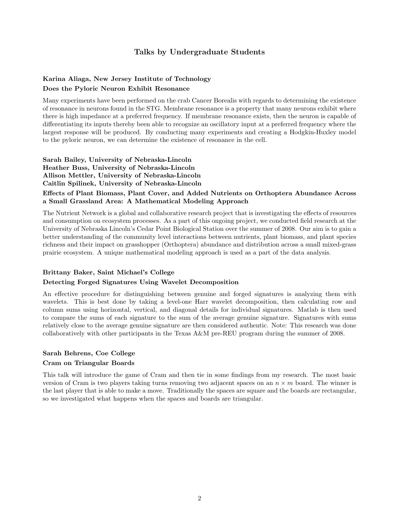#### Talks by Undergraduate Students

#### Karina Aliaga, New Jersey Institute of Technology Does the Pyloric Neuron Exhibit Resonance

Many experiments have been performed on the crab Cancer Borealis with regards to determining the existence of resonance in neurons found in the STG. Membrane resonance is a property that many neurons exhibit where there is high impedance at a preferred frequency. If membrane resonance exists, then the neuron is capable of differentiating its inputs thereby been able to recognize an oscillatory input at a preferred frequency where the largest response will be produced. By conducting many experiments and creating a Hodgkin-Huxley model to the pyloric neuron, we can determine the existence of resonance in the cell.

Sarah Bailey, University of Nebraska-Lincoln Heather Buss, University of Nebraska-Lincoln Allison Mettler, University of Nebraska-Lincoln Caitlin Spilinek, University of Nebraska-Lincoln

#### Effects of Plant Biomass, Plant Cover, and Added Nutrients on Orthoptera Abundance Across a Small Grassland Area: A Mathematical Modeling Approach

The Nutrient Network is a global and collaborative research project that is investigating the effects of resources and consumption on ecosystem processes. As a part of this ongoing project, we conducted field research at the University of Nebraska Lincoln's Cedar Point Biological Station over the summer of 2008. Our aim is to gain a better understanding of the community level interactions between nutrients, plant biomass, and plant species richness and their impact on grasshopper (Orthoptera) abundance and distribution across a small mixed-grass prairie ecosystem. A unique mathematical modeling approach is used as a part of the data analysis.

#### Brittany Baker, Saint Michael's College

#### Detecting Forged Signatures Using Wavelet Decomposition

An effective procedure for distinguishing between genuine and forged signatures is analyzing them with wavelets. This is best done by taking a level-one Harr wavelet decomposition, then calculating row and column sums using horizontal, vertical, and diagonal details for individual signatures. Matlab is then used to compare the sums of each signature to the sum of the average genuine signature. Signatures with sums relatively close to the average genuine signature are then considered authentic. Note: This research was done collaboratively with other participants in the Texas A&M pre-REU program during the summer of 2008.

#### Sarah Behrens, Coe College

#### Cram on Triangular Boards

This talk will introduce the game of Cram and then tie in some findings from my research. The most basic version of Cram is two players taking turns removing two adjacent spaces on an  $n \times m$  board. The winner is the last player that is able to make a move. Traditionally the spaces are square and the boards are rectangular, so we investigated what happens when the spaces and boards are triangular.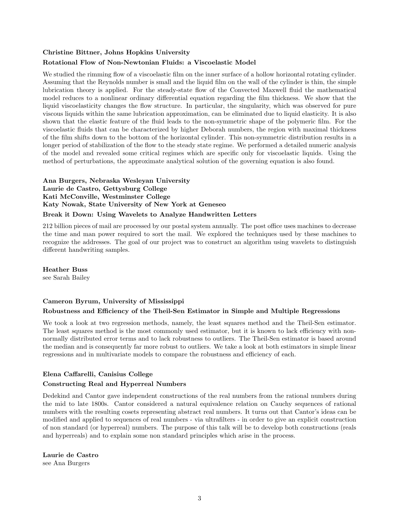#### Christine Bittner, Johns Hopkins University Rotational Flow of Non-Newtonian Fluids: a Viscoelastic Model

We studied the rimming flow of a viscoelastic film on the inner surface of a hollow horizontal rotating cylinder. Assuming that the Reynolds number is small and the liquid film on the wall of the cylinder is thin, the simple lubrication theory is applied. For the steady-state flow of the Convected Maxwell fluid the mathematical model reduces to a nonlinear ordinary differential equation regarding the film thickness. We show that the liquid viscoelasticity changes the flow structure. In particular, the singularity, which was observed for pure viscous liquids within the same lubrication approximation, can be eliminated due to liquid elasticity. It is also shown that the elastic feature of the fluid leads to the non-symmetric shape of the polymeric film. For the viscoelastic fluids that can be characterized by higher Deborah numbers, the region with maximal thickness of the film shifts down to the bottom of the horizontal cylinder. This non-symmetric distribution results in a longer period of stabilization of the flow to the steady state regime. We performed a detailed numeric analysis of the model and revealed some critical regimes which are specific only for viscoelastic liquids. Using the method of perturbations, the approximate analytical solution of the governing equation is also found.

#### Ana Burgers, Nebraska Wesleyan University Laurie de Castro, Gettysburg College Kati McConville, Westminster College Katy Nowak, State University of New York at Geneseo Break it Down: Using Wavelets to Analyze Handwritten Letters

212 billion pieces of mail are processed by our postal system annually. The post office uses machines to decrease the time and man power required to sort the mail. We explored the techniques used by these machines to recognize the addresses. The goal of our project was to construct an algorithm using wavelets to distinguish different handwriting samples.

Heather Buss

see Sarah Bailey

#### Cameron Byrum, University of Mississippi Robustness and Efficiency of the Theil-Sen Estimator in Simple and Multiple Regressions

We took a look at two regression methods, namely, the least squares method and the Theil-Sen estimator. The least squares method is the most commonly used estimator, but it is known to lack efficiency with nonnormally distributed error terms and to lack robustness to outliers. The Theil-Sen estimator is based around the median and is consequently far more robust to outliers. We take a look at both estimators in simple linear regressions and in multivariate models to compare the robustness and efficiency of each.

#### Elena Caffarelli, Canisius College

#### Constructing Real and Hyperreal Numbers

Dedekind and Cantor gave independent constructions of the real numbers from the rational numbers during the mid to late 1800s. Cantor considered a natural equivalence relation on Cauchy sequences of rational numbers with the resulting cosets representing abstract real numbers. It turns out that Cantor's ideas can be modified and applied to sequences of real numbers - via ultrafilters - in order to give an explicit construction of non standard (or hyperreal) numbers. The purpose of this talk will be to develop both constructions (reals and hyperreals) and to explain some non standard principles which arise in the process.

Laurie de Castro see Ana Burgers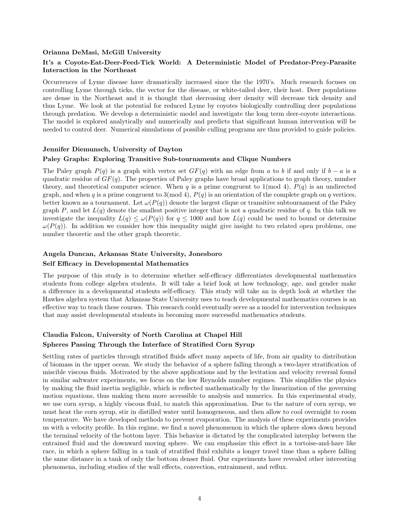#### Orianna DeMasi, McGill University

#### It's a Coyote-Eat-Deer-Feed-Tick World: A Deterministic Model of Predator-Prey-Parasite Interaction in the Northeast

Occurrences of Lyme disease have dramatically increased since the the 1970's. Much research focuses on controlling Lyme through ticks, the vector for the disease, or white-tailed deer, their host. Deer populations are dense in the Northeast and it is thought that decreasing deer density will decrease tick density and thus Lyme. We look at the potential for reduced Lyme by coyotes biologically controlling deer populations through predation. We develop a deterministic model and investigate the long term deer-coyote interactions. The model is explored analytically and numerically and predicts that significant human intervention will be needed to control deer. Numerical simulations of possible culling programs are thus provided to guide policies.

#### Jennifer Diemunsch, University of Dayton

#### Paley Graphs: Exploring Transitive Sub-tournaments and Clique Numbers

The Paley graph  $P(q)$  is a graph with vertex set  $GF(q)$  with an edge from a to b if and only if  $b - a$  is a quadratic residue of  $GF(q)$ . The properties of Paley graphs have broad applications to graph theory, number theory, and theoretical computer science. When q is a prime congruent to 1(mod 4),  $P(q)$  is an undirected graph, and when q is a prime congruent to  $3(\text{mod }4)$ ,  $P(q)$  is an orientation of the complete graph on q vertices, better known as a tournament. Let  $\omega(P(q))$  denote the largest clique or transitive subtournament of the Paley graph P, and let  $L(q)$  denote the smallest positive integer that is not a quadratic residue of q. In this talk we investigate the inequality  $L(q) \leq \omega(P(q))$  for  $q \leq 1000$  and how  $L(q)$  could be used to bound or determine  $\omega(P(q))$ . In addition we consider how this inequality might give insight to two related open problems, one number theoretic and the other graph theoretic.

#### Angela Duncan, Arkansas State University, Jonesboro

#### Self Efficacy in Developmental Mathematics

The purpose of this study is to determine whether self-efficacy differentiates developmental mathematics students from college algebra students. It will take a brief look at how technology, age, and gender make a difference in a developmental students self-efficacy. This study will take an in depth look at whether the Hawkes algebra system that Arkansas State University uses to teach developmental mathematics courses is an effective way to teach these courses. This research could eventually serve as a model for intervention techniques that may assist developmental students in becoming more successful mathematics students.

#### Claudia Falcon, University of North Carolina at Chapel Hill Spheres Passing Through the Interface of Stratified Corn Syrup

Settling rates of particles through stratified fluids affect many aspects of life, from air quality to distribution of biomass in the upper ocean. We study the behavior of a sphere falling through a two-layer stratification of miscible viscous fluids. Motivated by the above applications and by the levitation and velocity reversal found in similar saltwater experiments, we focus on the low Reynolds number regimes. This simplifies the physics by making the fluid inertia negligible, which is reflected mathematically by the linearization of the governing motion equations, thus making them more accessible to analysis and numerics. In this experimental study, we use corn syrup, a highly viscous fluid, to match this approximation. Due to the nature of corn syrup, we must heat the corn syrup, stir in distilled water until homogeneous, and then allow to cool overnight to room temperature. We have developed methods to prevent evaporation. The analysis of these experiments provides us with a velocity profile. In this regime, we find a novel phenomenon in which the sphere slows down beyond the terminal velocity of the bottom layer. This behavior is dictated by the complicated interplay between the entrained fluid and the downward moving sphere. We can emphasize this effect in a tortoise-and-hare like race, in which a sphere falling in a tank of stratified fluid exhibits a longer travel time than a sphere falling the same distance in a tank of only the bottom denser fluid. Our experiments have revealed other interesting phenomena, including studies of the wall effects, convection, entrainment, and reflux.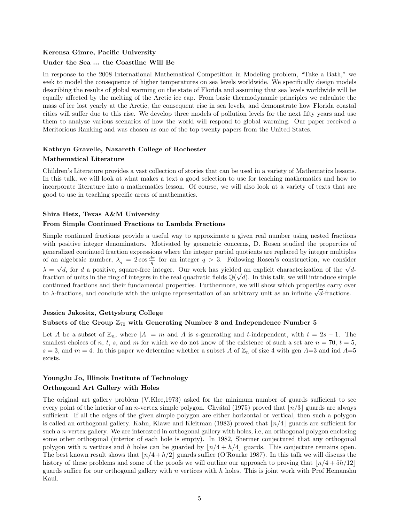## Kerensa Gimre, Pacific University

#### Under the Sea ... the Coastline Will Be

In response to the 2008 International Mathematical Competition in Modeling problem, "Take a Bath," we seek to model the consequence of higher temperatures on sea levels worldwide. We specifically design models describing the results of global warming on the state of Florida and assuming that sea levels worldwide will be equally affected by the melting of the Arctic ice cap. From basic thermodynamic principles we calculate the mass of ice lost yearly at the Arctic, the consequent rise in sea levels, and demonstrate how Florida coastal cities will suffer due to this rise. We develop three models of pollution levels for the next fifty years and use them to analyze various scenarios of how the world will respond to global warming. Our paper received a Meritorious Ranking and was chosen as one of the top twenty papers from the United States.

#### Kathryn Gravelle, Nazareth College of Rochester Mathematical Literature

Children's Literature provides a vast collection of stories that can be used in a variety of Mathematics lessons. In this talk, we will look at what makes a text a good selection to use for teaching mathematics and how to incorporate literature into a mathematics lesson. Of course, we will also look at a variety of texts that are good to use in teaching specific areas of mathematics.

#### Shira Hetz, Texas A&M University

#### From Simple Continued Fractions to Lambda Fractions

Simple continued fractions provide a useful way to approximate a given real number using nested fractions with positive integer denominators. Motivated by geometric concerns, D. Rosen studied the properties of generalized continued fraction expressions where the integer partial quotients are replaced by integer multiples of an algebraic number,  $\lambda_q = 2 \cos \frac{d\pi}{q}$  for an integer  $q > 3$ . Following Rosen's construction, we consider  $\lambda = \sqrt{d}$ , for d a positive, square-free integer. Our work has yielded an explicit characterization of the  $\sqrt{d}$ fraction of units in the ring of integers in the real quadratic fields  $\mathbb{Q}(\sqrt{d})$ . In this talk, we will introduce simple continued fractions and their fundamental properties. Furthermore, we will show which properties carry over to λ-fractions, and conclude with the unique representation of an arbitrary unit as an infinite  $\sqrt{d}$ -fractions.

#### Jessica Jakositz, Gettysburg College

#### Subsets of the Group  $\mathbb{Z}_{70}$  with Generating Number 3 and Independence Number 5

Let A be a subset of  $\mathbb{Z}_n$ , where  $|A| = m$  and A is s-generating and t-independent, with  $t = 2s - 1$ . The smallest choices of n, t, s, and m for which we do not know of the existence of such a set are  $n = 70$ ,  $t = 5$ ,  $s = 3$ , and  $m = 4$ . In this paper we determine whether a subset A of  $\mathbb{Z}_n$  of size 4 with gen A=3 and ind A=5 exists.

#### YoungJu Jo, Illinois Institute of Technology Orthogonal Art Gallery with Holes

The original art gallery problem (V.Klee,1973) asked for the minimum number of guards sufficient to see every point of the interior of an *n*-vertex simple polygon. Chvátal (1975) proved that  $\lfloor n/3 \rfloor$  guards are always sufficient. If all the edges of the given simple polygon are either horizontal or vertical, then such a polygon is called an orthogonal gallery. Kahn, Klawe and Kleitman (1983) proved that  $\lfloor n/4 \rfloor$  guards are sufficient for such a *n*-vertex gallery. We are interested in orthogonal gallery with holes, i.e, an orthogonal polygon enclosing some other orthogonal (interior of each hole is empty). In 1982, Shermer conjectured that any orthogonal polygon with n vertices and h holes can be guarded by  $\lfloor n/4 + h/4 \rfloor$  guards. This conjecture remains open. The best known result shows that  $\lfloor n/4 + h/2 \rfloor$  guards suffice (O'Rourke 1987). In this talk we will discuss the history of these problems and some of the proofs we will outline our approach to proving that  $\lfloor n/4 + 5h/12 \rfloor$ guards suffice for our orthogonal gallery with n vertices with h holes. This is joint work with Prof Hemanshu Kaul.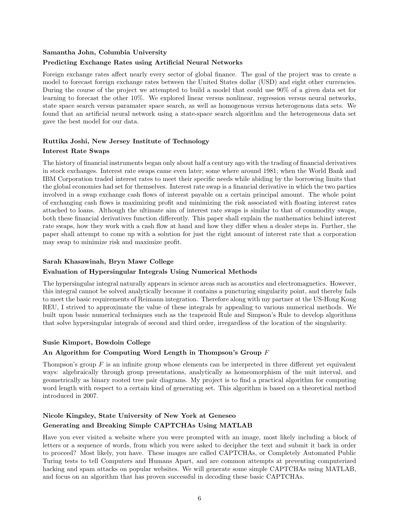#### Samantha John, Columbia University

#### Predicting Exchange Rates using Artificial Neural Networks

Foreign exchange rates affect nearly every sector of global finance. The goal of the project was to create a model to forecast foreign exchange rates between the United States dollar (USD) and eight other currencies. During the course of the project we attempted to build a model that could use 90% of a given data set for learning to forecast the other 10%. We explored linear versus nonlinear, regression versus neural networks, state space search versus paramater space search, as well as homogenous versus heterogenous data sets. We found that an artificial neural network using a state-space search algorithm and the heterogeneous data set gave the best model for our data.

#### Ruttika Joshi, New Jersey Institute of Technology Interest Rate Swaps

The history of financial instruments began only about half a century ago with the trading of financial derivatives in stock exchanges. Interest rate swaps came even later; some where around 1981; when the World Bank and IBM Corporation traded interest rates to meet their specific needs while abiding by the borrowing limits that the global economies had set for themselves. Interest rate swap is a financial derivative in which the two parties involved in a swap exchange cash flows of interest payable on a certain principal amount. The whole point of exchanging cash flows is maximizing profit and minimizing the risk associated with floating interest rates attached to loans. Although the ultimate aim of interest rate swaps is similar to that of commodity swaps, both these financial derivatives function differently. This paper shall explain the mathematics behind interest rate swaps, how they work with a cash flow at hand and how they differ when a dealer steps in. Further, the paper shall attempt to come up with a solution for just the right amount of interest rate that a corporation may swap to minimize risk and maximize profit.

#### Sarah Khasawinah, Bryn Mawr College

#### Evaluation of Hypersingular Integrals Using Numerical Methods

The hypersingular integral naturally appears in science areas such as acoustics and electromagnetics. However, this integral cannot be solved analytically because it contains a puncturing singularity point, and thereby fails to meet the basic requirements of Reimann integration. Therefore along with my partner at the US-Hong Kong REU, I strived to approximate the value of these integrals by appealing to various numerical methods. We built upon basic numerical techniques such as the trapezoid Rule and Simpson's Rule to develop algorithms that solve hypersingular integrals of second and third order, irregardless of the location of the singularity.

#### Susie Kimport, Bowdoin College

#### An Algorithm for Computing Word Length in Thompson's Group  $F$

Thompson's group  $F$  is an infinite group whose elements can be interpreted in three different yet equivalent ways: algebraically through group presentations, analytically as homeomorphism of the unit interval, and geometrically as binary rooted tree pair diagrams. My project is to find a practical algorithm for computing word length with respect to a certain kind of generating set. This algorithm is based on a theoretical method introduced in 2007.

### Nicole Kingsley, State University of New York at Geneseo Generating and Breaking Simple CAPTCHAs Using MATLAB

Have you ever visited a website where you were prompted with an image, most likely including a block of letters or a sequence of words, from which you were asked to decipher the text and submit it back in order to proceed? Most likely, you have. These images are called CAPTCHAs, or Completely Automated Public Turing tests to tell Computers and Humans Apart, and are common attempts at preventing computerized hacking and spam attacks on popular websites. We will generate some simple CAPTCHAs using MATLAB, and focus on an algorithm that has proven successful in decoding these basic CAPTCHAs.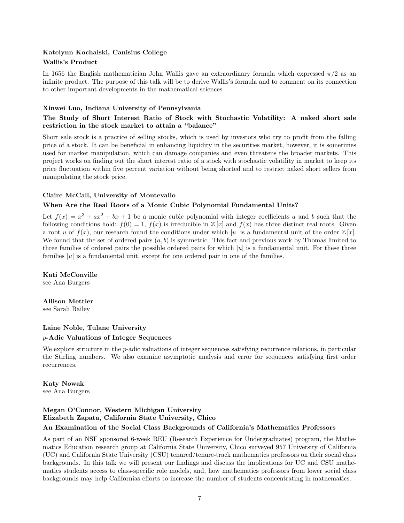#### Katelynn Kochalski, Canisius College

#### Wallis's Product

In 1656 the English mathematician John Wallis gave an extraordinary formula which expressed  $\pi/2$  as an infinite product. The purpose of this talk will be to derive Wallis's formula and to comment on its connection to other important developments in the mathematical sciences.

#### Xinwei Luo, Indiana University of Pennsylvania

#### The Study of Short Interest Ratio of Stock with Stochastic Volatility: A naked short sale restriction in the stock market to attain a "balance"

Short sale stock is a practice of selling stocks, which is used by investors who try to profit from the falling price of a stock. It can be beneficial in enhancing liquidity in the securities market, however, it is sometimes used for market manipulation, which can damage companies and even threatens the broader markets. This project works on finding out the short interest ratio of a stock with stochastic volatility in market to keep its price fluctuation within five percent variation without being shorted and to restrict naked short sellers from manipulating the stock price.

#### Claire McCall, University of Montevallo

#### When Are the Real Roots of a Monic Cubic Polynomial Fundamental Units?

Let  $f(x) = x^3 + ax^2 + bx + 1$  be a monic cubic polynomial with integer coefficients a and b such that the following conditions hold:  $f(0) = 1$ ,  $f(x)$  is irreducible in  $\mathbb{Z}[x]$  and  $f(x)$  has three distinct real roots. Given a root u of  $f(x)$ , our research found the conditions under which |u| is a fundamental unit of the order  $\mathbb{Z}[x]$ . We found that the set of ordered pairs  $(a, b)$  is symmetric. This fact and previous work by Thomas limited to three families of ordered pairs the possible ordered pairs for which  $|u|$  is a fundamental unit. For these three families  $|u|$  is a fundamental unit, except for one ordered pair in one of the families.

Kati McConville see Ana Burgers

Allison Mettler see Sarah Bailey

#### Laine Noble, Tulane University

#### p-Adic Valuations of Integer Sequences

We explore structure in the p-adic valuations of integer sequences satisfying recurrence relations, in particular the Stirling numbers. We also examine asymptotic analysis and error for sequences satisfying first order recurrences.

Katy Nowak see Ana Burgers

## Megan O'Connor, Western Michigan University Elizabeth Zapata, California State University, Chico

#### An Examination of the Social Class Backgrounds of California's Mathematics Professors

As part of an NSF sponsored 6-week REU (Research Experience for Undergraduates) program, the Mathematics Education research group at California State University, Chico surveyed 957 University of California (UC) and California State University (CSU) tenured/tenure-track mathematics professors on their social class backgrounds. In this talk we will present our findings and discuss the implications for UC and CSU mathematics students access to class-specific role models, and, how mathematics professors from lower social class backgrounds may help Californias efforts to increase the number of students concentrating in mathematics.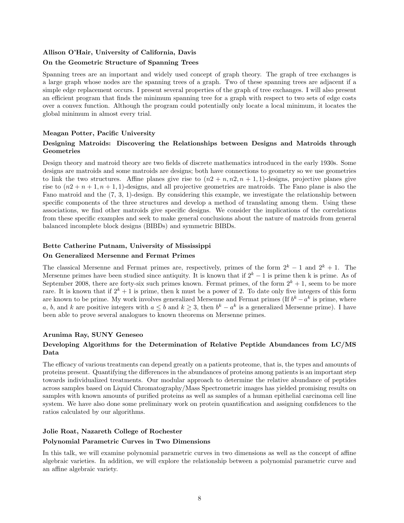#### Allison O'Hair, University of California, Davis

#### On the Geometric Structure of Spanning Trees

Spanning trees are an important and widely used concept of graph theory. The graph of tree exchanges is a large graph whose nodes are the spanning trees of a graph. Two of these spanning trees are adjacent if a simple edge replacement occurs. I present several properties of the graph of tree exchanges. I will also present an efficient program that finds the minimum spanning tree for a graph with respect to two sets of edge costs over a convex function. Although the program could potentially only locate a local minimum, it locates the global minimum in almost every trial.

#### Meagan Potter, Pacific University

#### Designing Matroids: Discovering the Relationships between Designs and Matroids through Geometries

Design theory and matroid theory are two fields of discrete mathematics introduced in the early 1930s. Some designs are matroids and some matroids are designs; both have connections to geometry so we use geometries to link the two structures. Affine planes give rise to  $(n2 + n, n2, n + 1, 1)$ -designs, projective planes give rise to  $(n2 + n + 1, n + 1, 1)$ -designs, and all projective geometries are matroids. The Fano plane is also the Fano matroid and the (7, 3, 1)-design. By considering this example, we investigate the relationship between specific components of the three structures and develop a method of translating among them. Using these associations, we find other matroids give specific designs. We consider the implications of the correlations from these specific examples and seek to make general conclusions about the nature of matroids from general balanced incomplete block designs (BIBDs) and symmetric BIBDs.

#### Bette Catherine Putnam, University of Mississippi

#### On Generalized Mersenne and Fermat Primes

The classical Mersenne and Fermat primes are, respectively, primes of the form  $2^k - 1$  and  $2^k + 1$ . The Mersenne primes have been studied since antiquity. It is known that if  $2^k - 1$  is prime then k is prime. As of September 2008, there are forty-six such primes known. Fermat primes, of the form  $2^k + 1$ , seem to be more rare. It is known that if  $2^k + 1$  is prime, then k must be a power of 2. To date only five integers of this form are known to be prime. My work involves generalized Mersenne and Fermat primes (If  $b^k - a^k$  is prime, where a, b, and k are positive integers with  $a \leq b$  and  $k \geq 3$ , then  $b^k - a^k$  is a generalized Mersenne prime). I have been able to prove several analogues to known theorems on Mersenne primes.

#### Arunima Ray, SUNY Geneseo

#### Developing Algorithms for the Determination of Relative Peptide Abundances from LC/MS Data

The efficacy of various treatments can depend greatly on a patients proteome, that is, the types and amounts of proteins present. Quantifying the differences in the abundances of proteins among patients is an important step towards individualized treatments. Our modular approach to determine the relative abundance of peptides across samples based on Liquid Chromatography/Mass Spectrometric images has yielded promising results on samples with known amounts of purified proteins as well as samples of a human epithelial carcinoma cell line system. We have also done some preliminary work on protein quantification and assigning confidences to the ratios calculated by our algorithms.

#### Jolie Roat, Nazareth College of Rochester Polynomial Parametric Curves in Two Dimensions

In this talk, we will examine polynomial parametric curves in two dimensions as well as the concept of affine algebraic varieties. In addition, we will explore the relationship between a polynomial parametric curve and an affine algebraic variety.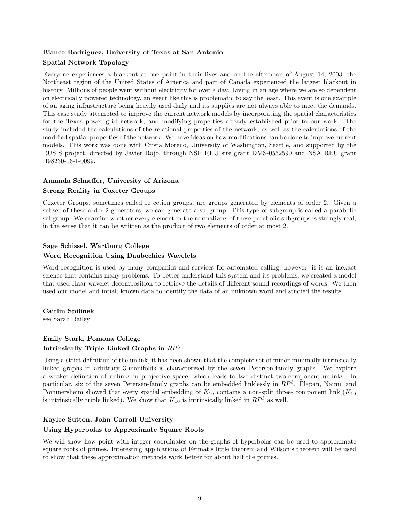#### Bianca Rodriguez, University of Texas at San Antonio Spatial Network Topology

Everyone experiences a blackout at one point in their lives and on the afternoon of August 14, 2003, the Northeast region of the United States of America and part of Canada experienced the largest blackout in history. Millions of people went without electricity for over a day. Living in an age where we are so dependent on electrically powered technology, an event like this is problematic to say the least. This event is one example of an aging infrastructure being heavily used daily and its supplies are not always able to meet the demands. This case study attempted to improve the current network models by incorporating the spatial characteristics for the Texas power grid network, and modifying properties already established prior to our work. The study included the calculations of the relational properties of the network, as well as the calculations of the modified spatial properties of the network. We have ideas on how modifications can be done to improve current models. This work was done with Crista Moreno, University of Washington, Seattle, and supported by the RUSIS project, directed by Javier Rojo, through NSF REU site grant DMS-0552590 and NSA REU grant H98230-06-1-0099.

#### Amanda Schaeffer, University of Arizona

#### Strong Reality in Coxeter Groups

Coxeter Groups, sometimes called re ection groups, are groups generated by elements of order 2. Given a subset of these order 2 generators, we can generate a subgroup. This type of subgroup is called a parabolic subgroup. We examine whether every element in the normalizers of these parabolic subgroups is strongly real, in the sense that it can be written as the product of two elements of order at most 2.

#### Sage Schissel, Wartburg College

#### Word Recognition Using Daubechies Wavelets

Word recognition is used by many companies and services for automated calling; however, it is an inexact science that contains many problems. To better understand this system and its problems, we created a model that used Haar wavelet decomposition to retrieve the details of different sound recordings of words. We then used our model and intial, known data to identify the data of an unknown word and studied the results.

Caitlin Spilinek

see Sarah Bailey

#### Emily Stark, Pomona College Intrinsically Triple Linked Graphs in  $RP^3$

Using a strict definition of the unlink, it has been shown that the complete set of minor-minimally intrinsically linked graphs in arbitrary 3-manifolds is characterized by the seven Petersen-family graphs. We explore a weaker definition of unlinks in projective space, which leads to two distinct two-component unlinks. In particular, six of the seven Petersen-family graphs can be embedded linklessly in  $RP^3$ . Flapan, Naimi, and Pommersheim showed that every spatial embedding of  $K_{10}$  contains a non-split three- component link  $(K_{10})$ is intrinsically triple linked). We show that  $K_{10}$  is intrinsically linked in  $RP^3$  as well.

#### Kaylee Sutton, John Carroll University

#### Using Hyperbolas to Approximate Square Roots

We will show how point with integer coordinates on the graphs of hyperbolas can be used to approximate square roots of primes. Interesting applications of Fermat's little theorem and Wilson's theorem will be used to show that these approximation methods work better for about half the primes.